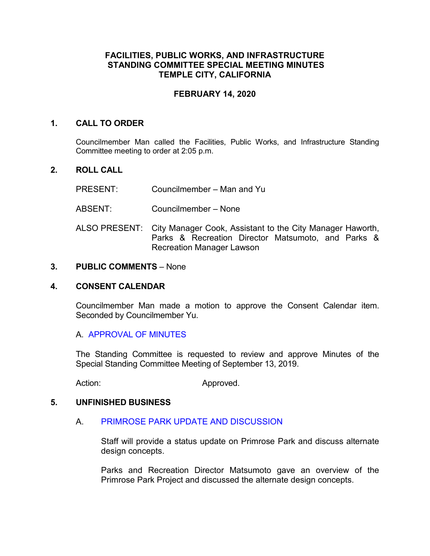# **FACILITIES, PUBLIC WORKS, AND INFRASTRUCTURE STANDING COMMITTEE SPECIAL MEETING MINUTES TEMPLE CITY, CALIFORNIA**

## **FEBRUARY 14, 2020**

## **1. CALL TO ORDER**

Councilmember Man called the Facilities, Public Works, and Infrastructure Standing Committee meeting to order at 2:05 p.m.

## **2. ROLL CALL**

- PRESENT: Councilmember Man and Yu
- ABSENT: Councilmember None
- ALSO PRESENT: City Manager Cook, Assistant to the City Manager Haworth, Parks & Recreation Director Matsumoto, and Parks & Recreation Manager Lawson

## **3. PUBLIC COMMENTS** – None

#### **4. CONSENT CALENDAR**

Councilmember Man made a motion to approve the Consent Calendar item. Seconded by Councilmember Yu.

#### A. [APPROVAL OF MINUTES](https://ca-templecity.civicplus.com/DocumentCenter/View/13862/2019-09-13-PWSC-minutes)

The Standing Committee is requested to review and approve Minutes of the Special Standing Committee Meeting of September 13, 2019.

Action: Approved.

#### **5. UNFINISHED BUSINESS**

# A. [PRIMROSE PARK UPDATE AND DISCUSSION](https://ca-templecity.civicplus.com/DocumentCenter/View/13861/02-Standing-Committee-Staff-Report---Primrose-Park-Alternative-Concept-Plans)

Staff will provide a status update on Primrose Park and discuss alternate design concepts.

Parks and Recreation Director Matsumoto gave an overview of the Primrose Park Project and discussed the alternate design concepts.